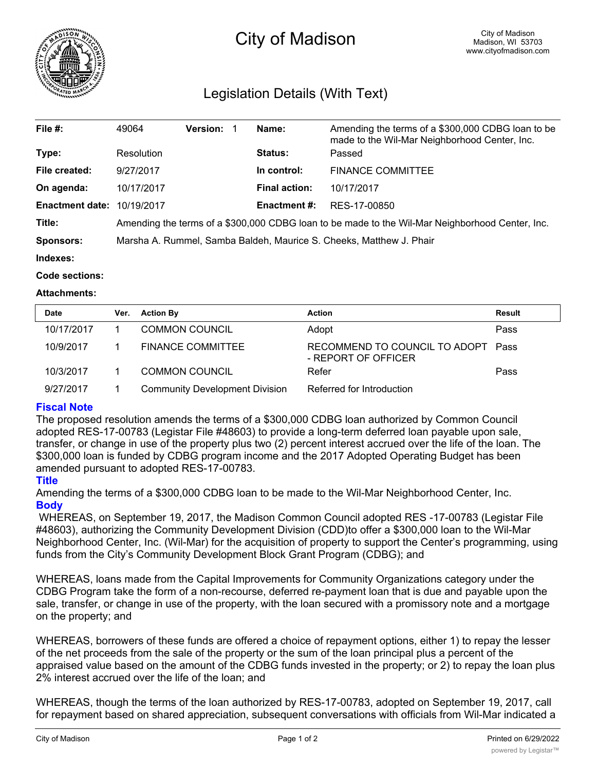

# City of Madison

## Legislation Details (With Text)

| File #:                | 49064                                                                                           | <b>Version:</b> |  | Name:                | Amending the terms of a \$300,000 CDBG loan to be<br>made to the Wil-Mar Neighborhood Center, Inc. |  |
|------------------------|-------------------------------------------------------------------------------------------------|-----------------|--|----------------------|----------------------------------------------------------------------------------------------------|--|
| Type:                  | Resolution                                                                                      |                 |  | <b>Status:</b>       | Passed                                                                                             |  |
| File created:          | 9/27/2017                                                                                       |                 |  | In control:          | <b>FINANCE COMMITTEE</b>                                                                           |  |
| On agenda:             | 10/17/2017                                                                                      |                 |  | <b>Final action:</b> | 10/17/2017                                                                                         |  |
| <b>Enactment date:</b> | 10/19/2017                                                                                      |                 |  | <b>Enactment #:</b>  | RES-17-00850                                                                                       |  |
| Title:                 | Amending the terms of a \$300,000 CDBG loan to be made to the Wil-Mar Neighborhood Center, Inc. |                 |  |                      |                                                                                                    |  |
| Sponsors:              | Marsha A. Rummel, Samba Baldeh, Maurice S. Cheeks, Matthew J. Phair                             |                 |  |                      |                                                                                                    |  |
| Indexes:               |                                                                                                 |                 |  |                      |                                                                                                    |  |

#### **Code sections:**

#### **Attachments:**

| <b>Date</b> | Ver. | <b>Action By</b>                      | <b>Action</b>                                             | <b>Result</b> |
|-------------|------|---------------------------------------|-----------------------------------------------------------|---------------|
| 10/17/2017  |      | <b>COMMON COUNCIL</b>                 | Adopt                                                     | Pass          |
| 10/9/2017   |      | <b>FINANCE COMMITTEE</b>              | RECOMMEND TO COUNCIL TO ADOPT Pass<br>- REPORT OF OFFICER |               |
| 10/3/2017   |      | <b>COMMON COUNCIL</b>                 | Refer                                                     | Pass          |
| 9/27/2017   |      | <b>Community Development Division</b> | Referred for Introduction                                 |               |

### **Fiscal Note**

The proposed resolution amends the terms of a \$300,000 CDBG loan authorized by Common Council adopted RES-17-00783 (Legistar File #48603) to provide a long-term deferred loan payable upon sale, transfer, or change in use of the property plus two (2) percent interest accrued over the life of the loan. The \$300,000 loan is funded by CDBG program income and the 2017 Adopted Operating Budget has been amended pursuant to adopted RES-17-00783.

#### **Title**

Amending the terms of a \$300,000 CDBG loan to be made to the Wil-Mar Neighborhood Center, Inc. **Body**

 WHEREAS, on September 19, 2017, the Madison Common Council adopted RES -17-00783 (Legistar File #48603), authorizing the Community Development Division (CDD)to offer a \$300,000 loan to the Wil-Mar Neighborhood Center, Inc. (Wil-Mar) for the acquisition of property to support the Center's programming, using funds from the City's Community Development Block Grant Program (CDBG); and

WHEREAS, loans made from the Capital Improvements for Community Organizations category under the CDBG Program take the form of a non-recourse, deferred re-payment loan that is due and payable upon the sale, transfer, or change in use of the property, with the loan secured with a promissory note and a mortgage on the property; and

WHEREAS, borrowers of these funds are offered a choice of repayment options, either 1) to repay the lesser of the net proceeds from the sale of the property or the sum of the loan principal plus a percent of the appraised value based on the amount of the CDBG funds invested in the property; or 2) to repay the loan plus 2% interest accrued over the life of the loan; and

WHEREAS, though the terms of the loan authorized by RES-17-00783, adopted on September 19, 2017, call for repayment based on shared appreciation, subsequent conversations with officials from Wil-Mar indicated a